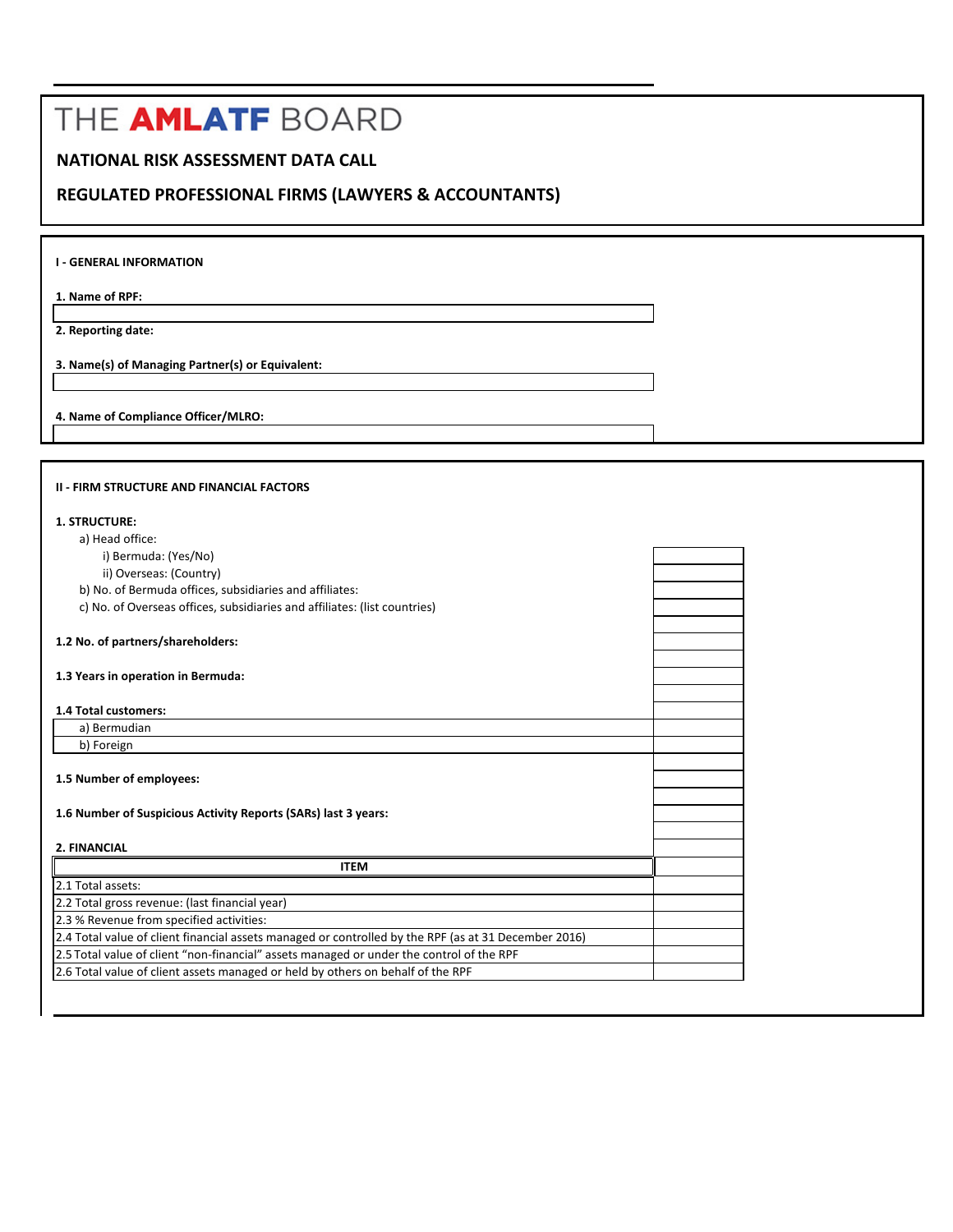## THE AMLATF BOARD

## **NATIONAL RISK ASSESSMENT DATA CALL**

## **REGULATED PROFESSIONAL FIRMS (LAWYERS & ACCOUNTANTS)**

**1. Name of RPF:**

**2. Reporting date:** 

**3. Name(s) of Managing Partner(s) or Equivalent:**

**4. Name of Compliance Officer/MLRO:**

| <b>II - FIRM STRUCTURE AND FINANCIAL FACTORS</b>                                                     |  |
|------------------------------------------------------------------------------------------------------|--|
| 1. STRUCTURE:                                                                                        |  |
| a) Head office:                                                                                      |  |
| i) Bermuda: (Yes/No)                                                                                 |  |
| ii) Overseas: (Country)                                                                              |  |
| b) No. of Bermuda offices, subsidiaries and affiliates:                                              |  |
| c) No. of Overseas offices, subsidiaries and affiliates: (list countries)                            |  |
|                                                                                                      |  |
| 1.2 No. of partners/shareholders:                                                                    |  |
|                                                                                                      |  |
| 1.3 Years in operation in Bermuda:                                                                   |  |
|                                                                                                      |  |
| 1.4 Total customers:                                                                                 |  |
| a) Bermudian                                                                                         |  |
| b) Foreign                                                                                           |  |
|                                                                                                      |  |
| 1.5 Number of employees:                                                                             |  |
|                                                                                                      |  |
| 1.6 Number of Suspicious Activity Reports (SARs) last 3 years:                                       |  |
|                                                                                                      |  |
| 2. FINANCIAL                                                                                         |  |
| <b>ITEM</b>                                                                                          |  |
| 2.1 Total assets:                                                                                    |  |
| 2.2 Total gross revenue: (last financial year)                                                       |  |
| 2.3 % Revenue from specified activities:                                                             |  |
| 2.4 Total value of client financial assets managed or controlled by the RPF (as at 31 December 2016) |  |
| 2.5 Total value of client "non-financial" assets managed or under the control of the RPF             |  |
| 2.6 Total value of client assets managed or held by others on behalf of the RPF                      |  |
|                                                                                                      |  |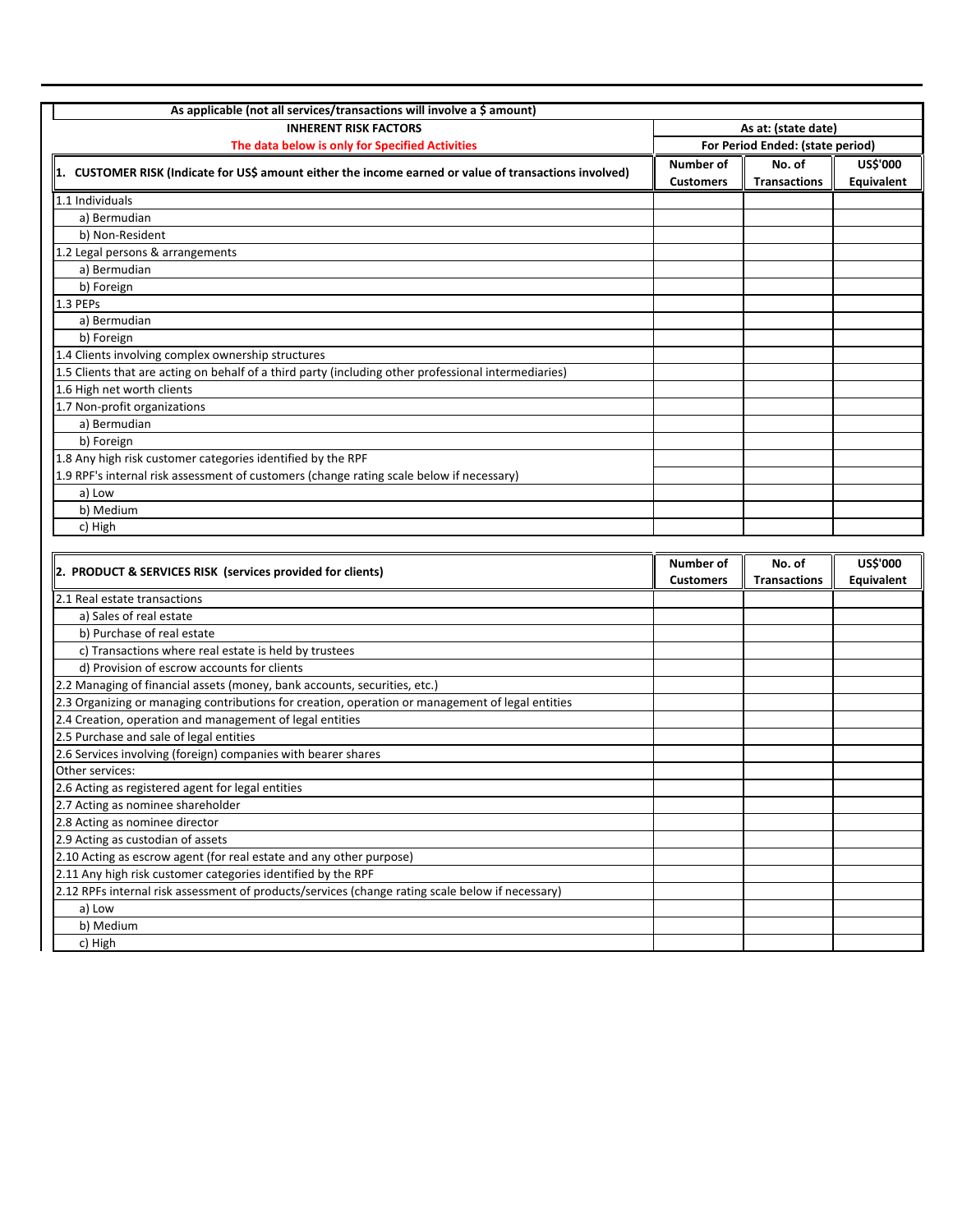| As applicable (not all services/transactions will involve a \$ amount)                                 |                                  |                     |                 |
|--------------------------------------------------------------------------------------------------------|----------------------------------|---------------------|-----------------|
| <b>INHERENT RISK FACTORS</b>                                                                           | As at: (state date)              |                     |                 |
| The data below is only for Specified Activities                                                        | For Period Ended: (state period) |                     |                 |
| 1. CUSTOMER RISK (Indicate for US\$ amount either the income earned or value of transactions involved) | Number of                        | No. of              | <b>US\$'000</b> |
|                                                                                                        | <b>Customers</b>                 | <b>Transactions</b> | Equivalent      |
| 1.1 Individuals                                                                                        |                                  |                     |                 |
| a) Bermudian                                                                                           |                                  |                     |                 |
| b) Non-Resident                                                                                        |                                  |                     |                 |
| 1.2 Legal persons & arrangements                                                                       |                                  |                     |                 |
| a) Bermudian                                                                                           |                                  |                     |                 |
| b) Foreign                                                                                             |                                  |                     |                 |
| 1.3 PEPs                                                                                               |                                  |                     |                 |
| a) Bermudian                                                                                           |                                  |                     |                 |
| b) Foreign                                                                                             |                                  |                     |                 |
| 1.4 Clients involving complex ownership structures                                                     |                                  |                     |                 |
| 1.5 Clients that are acting on behalf of a third party (including other professional intermediaries)   |                                  |                     |                 |
| 1.6 High net worth clients                                                                             |                                  |                     |                 |
| 1.7 Non-profit organizations                                                                           |                                  |                     |                 |
| a) Bermudian                                                                                           |                                  |                     |                 |
| b) Foreign                                                                                             |                                  |                     |                 |
| 1.8 Any high risk customer categories identified by the RPF                                            |                                  |                     |                 |
| 1.9 RPF's internal risk assessment of customers (change rating scale below if necessary)               |                                  |                     |                 |
| a) Low                                                                                                 |                                  |                     |                 |
| b) Medium                                                                                              |                                  |                     |                 |
| c) High                                                                                                |                                  |                     |                 |

| 2. PRODUCT & SERVICES RISK (services provided for clients)                                       | Number of        | No. of              | <b>US\$'000</b> |
|--------------------------------------------------------------------------------------------------|------------------|---------------------|-----------------|
|                                                                                                  | <b>Customers</b> | <b>Transactions</b> | Equivalent      |
| 2.1 Real estate transactions                                                                     |                  |                     |                 |
| a) Sales of real estate                                                                          |                  |                     |                 |
| b) Purchase of real estate                                                                       |                  |                     |                 |
| c) Transactions where real estate is held by trustees                                            |                  |                     |                 |
| d) Provision of escrow accounts for clients                                                      |                  |                     |                 |
| 2.2 Managing of financial assets (money, bank accounts, securities, etc.)                        |                  |                     |                 |
| 2.3 Organizing or managing contributions for creation, operation or management of legal entities |                  |                     |                 |
| 2.4 Creation, operation and management of legal entities                                         |                  |                     |                 |
| 2.5 Purchase and sale of legal entities                                                          |                  |                     |                 |
| 2.6 Services involving (foreign) companies with bearer shares                                    |                  |                     |                 |
| Other services:                                                                                  |                  |                     |                 |
| 2.6 Acting as registered agent for legal entities                                                |                  |                     |                 |
| 2.7 Acting as nominee shareholder                                                                |                  |                     |                 |
| 2.8 Acting as nominee director                                                                   |                  |                     |                 |
| 2.9 Acting as custodian of assets                                                                |                  |                     |                 |
| 2.10 Acting as escrow agent (for real estate and any other purpose)                              |                  |                     |                 |
| 2.11 Any high risk customer categories identified by the RPF                                     |                  |                     |                 |
| 2.12 RPFs internal risk assessment of products/services (change rating scale below if necessary) |                  |                     |                 |
| a) Low                                                                                           |                  |                     |                 |
| b) Medium                                                                                        |                  |                     |                 |
| c) High                                                                                          |                  |                     |                 |